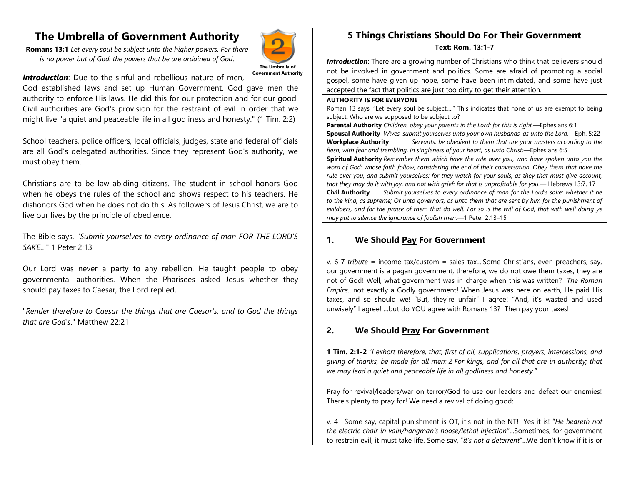# **The Umbrella of Government Authority**

**Romans 13:1** *Let every soul be subject unto the higher powers. For there is no power but of God: the powers that be are ordained of God*.



*Introduction*: Due to the sinful and rebellious nature of men,

God established laws and set up Human Government. God gave men the authority to enforce His laws. He did this for our protection and for our good. Civil authorities are God's provision for the restraint of evil in order that we might live "a quiet and peaceable life in all godliness and honesty." (1 Tim. 2:2)

School teachers, police officers, local officials, judges, state and federal officials are all God's delegated authorities. Since they represent God's authority, we must obey them.

Christians are to be law-abiding citizens. The student in school honors God when he obeys the rules of the school and shows respect to his teachers. He dishonors God when he does not do this. As followers of Jesus Christ, we are to live our lives by the principle of obedience.

The Bible says, "*Submit yourselves to every ordinance of man FOR THE LORD'S SAKE*…" 1 Peter 2:13

Our Lord was never a party to any rebellion. He taught people to obey governmental authorities. When the Pharisees asked Jesus whether they should pay taxes to Caesar, the Lord replied,

"*Render therefore to Caesar the things that are Caesar's, and to God the things that are God's*." Matthew 22:21

## **5 Things Christians Should Do For Their Government**

**Text: Rom. 13:1-7**

*Introduction*: There are a growing number of Christians who think that believers should not be involved in government and politics. Some are afraid of promoting a social gospel, some have given up hope, some have been intimidated, and some have just accepted the fact that politics are just too dirty to get their attention.

#### **AUTHORITY IS FOR EVERYONE**

Roman 13 says, "Let every soul be subject...." This indicates that none of us are exempt to being subject. Who are we supposed to be subject to?

**Parental Authority** *Children, obey your parents in the Lord: for this is right.*—Ephesians 6:1 **Spousal Authority** *Wives, submit yourselves unto your own husbands, as unto the Lord.*—Eph. 5:22 **Workplace Authority** *Servants, be obedient to them that are your masters according to the flesh, with fear and trembling, in singleness of your heart, as unto Christ;*—Ephesians 6:5

**Spiritual Authority** *Remember them which have the rule over you, who have spoken unto you the word of God: whose faith follow, considering the end of their conversation. Obey them that have the rule over you, and submit yourselves: for they watch for your souls, as they that must give account, that they may do it with joy, and not with grief: for that is unprofitable for you.*— Hebrews 13:7, 17

**Civil Authority** *Submit yourselves to every ordinance of man for the Lord's sake: whether it be to the king, as supreme; Or unto governors, as unto them that are sent by him for the punishment of evildoers, and for the praise of them that do well. For so is the will of God, that with well doing ye may put to silence the ignorance of foolish men:*—1 Peter 2:13–15

### **1. We Should Pay For Government**

v. 6-7 *tribute* = income tax/custom = sales tax....Some Christians, even preachers, say, our government is a pagan government, therefore, we do not owe them taxes, they are not of God! Well, what government was in charge when this was written? *The Roman Empire…*not exactly a Godly government! When Jesus was here on earth, He paid His taxes, and so should we! "But, they're unfair" I agree! "And, it's wasted and used unwisely" I agree! …but do YOU agree with Romans 13? Then pay your taxes!

### **2. We Should Pray For Government**

**1 Tim. 2:1-2** "*I exhort therefore, that, first of all, supplications, prayers, intercessions, and giving of thanks, be made for all men; 2 For kings, and for all that are in authority; that we may lead a quiet and peaceable life in all godliness and honesty*."

Pray for revival/leaders/war on terror/God to use our leaders and defeat our enemies! There's plenty to pray for! We need a revival of doing good:

v. 4 Some say, capital punishment is OT, it's not in the NT! Yes it is! "*He beareth not the electric chair in vain/hangman's noose/lethal injection*"...Sometimes, for government to restrain evil, it must take life. Some say, "*it's not a deterrent*"...We don't know if it is or